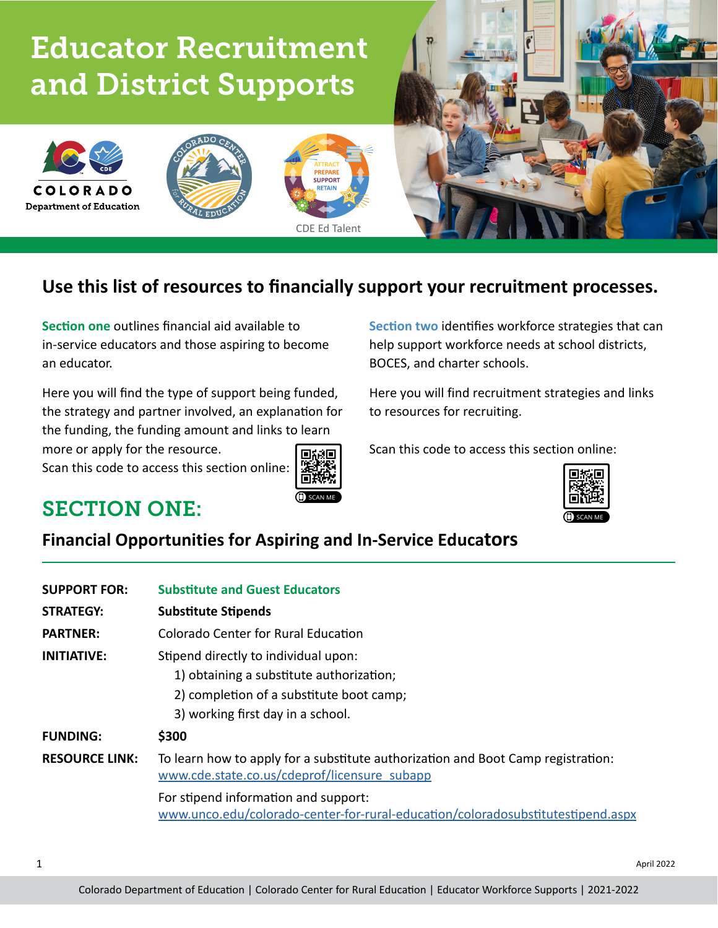# Educator Recruitment and District Supports



# **Use this list of resources to financially support your recruitment processes.**

CDE Ed Talent

**SUPPOR** 

**Section one** outlines financial aid available to in-service educators and those aspiring to become an educator.

Here you will find the type of support being funded, the strategy and partner involved, an explanation for the funding, the funding amount and links to learn

more or apply for the resource.

Scan this code to access this section online:



**Section two** identifies workforce strategies that can help support workforce needs at school districts, BOCES, and charter schools.

Here you will find recruitment strategies and links to resources for recruiting.

Scan this code to access this section online:



# SECTION ONE:

**COLORADO Department of Education** 

## **Financial Opportunities for Aspiring and In-Service Educators**

| <b>SUPPORT FOR:</b>   | <b>Substitute and Guest Educators</b>                                                                                                                             |  |
|-----------------------|-------------------------------------------------------------------------------------------------------------------------------------------------------------------|--|
| <b>STRATEGY:</b>      | <b>Substitute Stipends</b>                                                                                                                                        |  |
| <b>PARTNER:</b>       | Colorado Center for Rural Education                                                                                                                               |  |
| INITIATIVE:           | Stipend directly to individual upon:<br>1) obtaining a substitute authorization;<br>2) completion of a substitute boot camp;<br>3) working first day in a school. |  |
| <b>FUNDING:</b>       | \$300                                                                                                                                                             |  |
| <b>RESOURCE LINK:</b> | To learn how to apply for a substitute authorization and Boot Camp registration:<br>www.cde.state.co.us/cdeprof/licensure subapp                                  |  |
|                       | For stipend information and support:<br>www.unco.edu/colorado-center-for-rural-education/coloradosubstitutestipend.aspx                                           |  |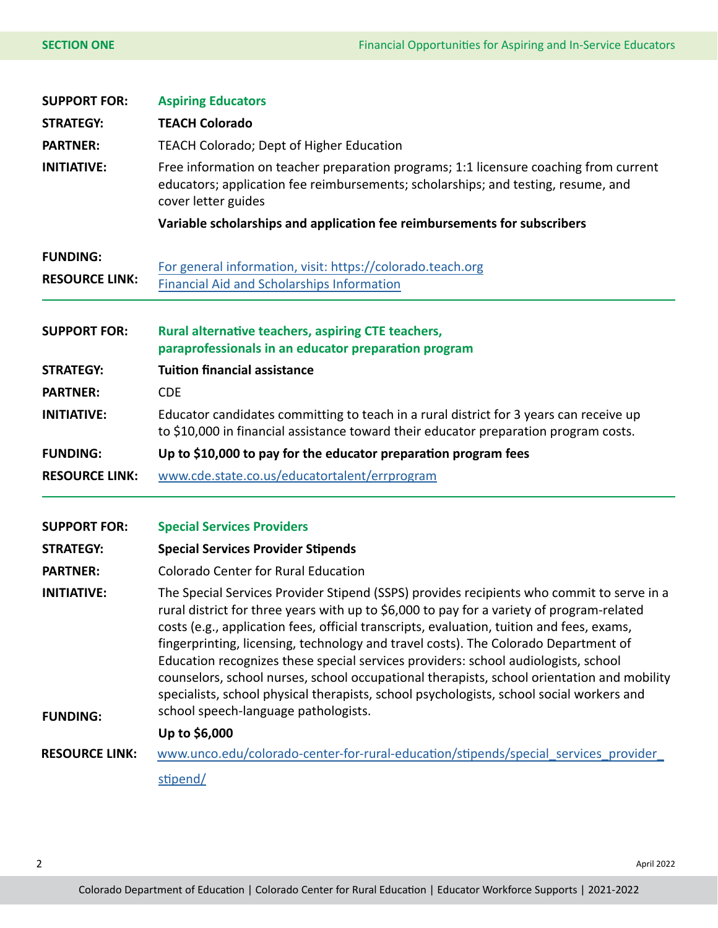| <b>SUPPORT FOR:</b>                      | <b>Aspiring Educators</b>                                                                                                                                                                                                                                                                                                                                                                                                                                                                                                                                                                                                                                                                          |  |  |
|------------------------------------------|----------------------------------------------------------------------------------------------------------------------------------------------------------------------------------------------------------------------------------------------------------------------------------------------------------------------------------------------------------------------------------------------------------------------------------------------------------------------------------------------------------------------------------------------------------------------------------------------------------------------------------------------------------------------------------------------------|--|--|
| <b>STRATEGY:</b>                         | <b>TEACH Colorado</b>                                                                                                                                                                                                                                                                                                                                                                                                                                                                                                                                                                                                                                                                              |  |  |
| <b>PARTNER:</b>                          | TEACH Colorado; Dept of Higher Education                                                                                                                                                                                                                                                                                                                                                                                                                                                                                                                                                                                                                                                           |  |  |
| <b>INITIATIVE:</b>                       | Free information on teacher preparation programs; 1:1 licensure coaching from current<br>educators; application fee reimbursements; scholarships; and testing, resume, and<br>cover letter guides                                                                                                                                                                                                                                                                                                                                                                                                                                                                                                  |  |  |
|                                          | Variable scholarships and application fee reimbursements for subscribers                                                                                                                                                                                                                                                                                                                                                                                                                                                                                                                                                                                                                           |  |  |
| <b>FUNDING:</b><br><b>RESOURCE LINK:</b> | For general information, visit: https://colorado.teach.org<br><b>Financial Aid and Scholarships Information</b>                                                                                                                                                                                                                                                                                                                                                                                                                                                                                                                                                                                    |  |  |
| <b>SUPPORT FOR:</b>                      | Rural alternative teachers, aspiring CTE teachers,<br>paraprofessionals in an educator preparation program                                                                                                                                                                                                                                                                                                                                                                                                                                                                                                                                                                                         |  |  |
| <b>STRATEGY:</b>                         | <b>Tuition financial assistance</b>                                                                                                                                                                                                                                                                                                                                                                                                                                                                                                                                                                                                                                                                |  |  |
| <b>PARTNER:</b>                          | <b>CDE</b>                                                                                                                                                                                                                                                                                                                                                                                                                                                                                                                                                                                                                                                                                         |  |  |
| <b>INITIATIVE:</b>                       | Educator candidates committing to teach in a rural district for 3 years can receive up<br>to \$10,000 in financial assistance toward their educator preparation program costs.                                                                                                                                                                                                                                                                                                                                                                                                                                                                                                                     |  |  |
| <b>FUNDING:</b>                          | Up to \$10,000 to pay for the educator preparation program fees                                                                                                                                                                                                                                                                                                                                                                                                                                                                                                                                                                                                                                    |  |  |
| <b>RESOURCE LINK:</b>                    | www.cde.state.co.us/educatortalent/errprogram                                                                                                                                                                                                                                                                                                                                                                                                                                                                                                                                                                                                                                                      |  |  |
| <b>SUPPORT FOR:</b>                      | <b>Special Services Providers</b>                                                                                                                                                                                                                                                                                                                                                                                                                                                                                                                                                                                                                                                                  |  |  |
| <b>STRATEGY:</b>                         | <b>Special Services Provider Stipends</b>                                                                                                                                                                                                                                                                                                                                                                                                                                                                                                                                                                                                                                                          |  |  |
| <b>PARTNER:</b>                          | <b>Colorado Center for Rural Education</b>                                                                                                                                                                                                                                                                                                                                                                                                                                                                                                                                                                                                                                                         |  |  |
| <b>INITIATIVE:</b><br><b>FUNDING:</b>    | The Special Services Provider Stipend (SSPS) provides recipients who commit to serve in a<br>rural district for three years with up to \$6,000 to pay for a variety of program-related<br>costs (e.g., application fees, official transcripts, evaluation, tuition and fees, exams,<br>fingerprinting, licensing, technology and travel costs). The Colorado Department of<br>Education recognizes these special services providers: school audiologists, school<br>counselors, school nurses, school occupational therapists, school orientation and mobility<br>specialists, school physical therapists, school psychologists, school social workers and<br>school speech-language pathologists. |  |  |
|                                          | Up to \$6,000                                                                                                                                                                                                                                                                                                                                                                                                                                                                                                                                                                                                                                                                                      |  |  |
| <b>RESOURCE LINK:</b>                    | www.unco.edu/colorado-center-for-rural-education/stipends/special services provider                                                                                                                                                                                                                                                                                                                                                                                                                                                                                                                                                                                                                |  |  |
|                                          | stipend/                                                                                                                                                                                                                                                                                                                                                                                                                                                                                                                                                                                                                                                                                           |  |  |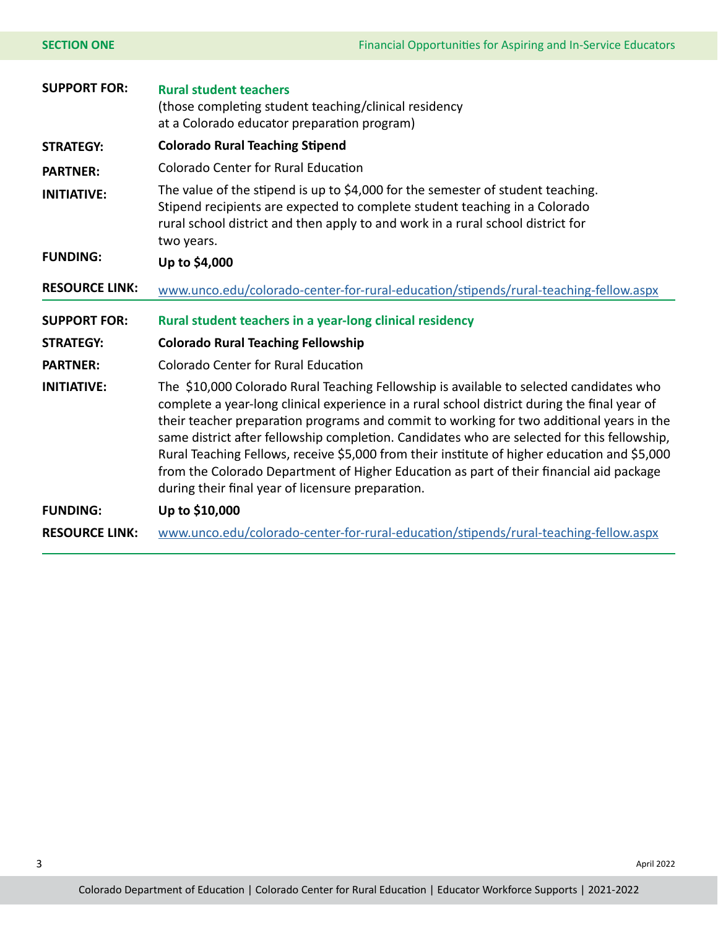| <b>SECTION ONE</b>    | Financial Opportunities for Aspiring and In-Service Educators                                                                                                                                                                                                                                                                                                                                                                                                                                                                                                                                                                      |  |
|-----------------------|------------------------------------------------------------------------------------------------------------------------------------------------------------------------------------------------------------------------------------------------------------------------------------------------------------------------------------------------------------------------------------------------------------------------------------------------------------------------------------------------------------------------------------------------------------------------------------------------------------------------------------|--|
| <b>SUPPORT FOR:</b>   | <b>Rural student teachers</b><br>(those completing student teaching/clinical residency<br>at a Colorado educator preparation program)                                                                                                                                                                                                                                                                                                                                                                                                                                                                                              |  |
| <b>STRATEGY:</b>      | <b>Colorado Rural Teaching Stipend</b>                                                                                                                                                                                                                                                                                                                                                                                                                                                                                                                                                                                             |  |
| <b>PARTNER:</b>       | <b>Colorado Center for Rural Education</b>                                                                                                                                                                                                                                                                                                                                                                                                                                                                                                                                                                                         |  |
| <b>INITIATIVE:</b>    | The value of the stipend is up to \$4,000 for the semester of student teaching.<br>Stipend recipients are expected to complete student teaching in a Colorado<br>rural school district and then apply to and work in a rural school district for<br>two years.                                                                                                                                                                                                                                                                                                                                                                     |  |
| <b>FUNDING:</b>       | Up to \$4,000                                                                                                                                                                                                                                                                                                                                                                                                                                                                                                                                                                                                                      |  |
|                       |                                                                                                                                                                                                                                                                                                                                                                                                                                                                                                                                                                                                                                    |  |
| <b>RESOURCE LINK:</b> | www.unco.edu/colorado-center-for-rural-education/stipends/rural-teaching-fellow.aspx                                                                                                                                                                                                                                                                                                                                                                                                                                                                                                                                               |  |
| <b>SUPPORT FOR:</b>   | Rural student teachers in a year-long clinical residency                                                                                                                                                                                                                                                                                                                                                                                                                                                                                                                                                                           |  |
| <b>STRATEGY:</b>      | <b>Colorado Rural Teaching Fellowship</b>                                                                                                                                                                                                                                                                                                                                                                                                                                                                                                                                                                                          |  |
| <b>PARTNER:</b>       | <b>Colorado Center for Rural Education</b>                                                                                                                                                                                                                                                                                                                                                                                                                                                                                                                                                                                         |  |
| <b>INITIATIVE:</b>    | The \$10,000 Colorado Rural Teaching Fellowship is available to selected candidates who<br>complete a year-long clinical experience in a rural school district during the final year of<br>their teacher preparation programs and commit to working for two additional years in the<br>same district after fellowship completion. Candidates who are selected for this fellowship,<br>Rural Teaching Fellows, receive \$5,000 from their institute of higher education and \$5,000<br>from the Colorado Department of Higher Education as part of their financial aid package<br>during their final year of licensure preparation. |  |
| <b>FUNDING:</b>       | Up to \$10,000                                                                                                                                                                                                                                                                                                                                                                                                                                                                                                                                                                                                                     |  |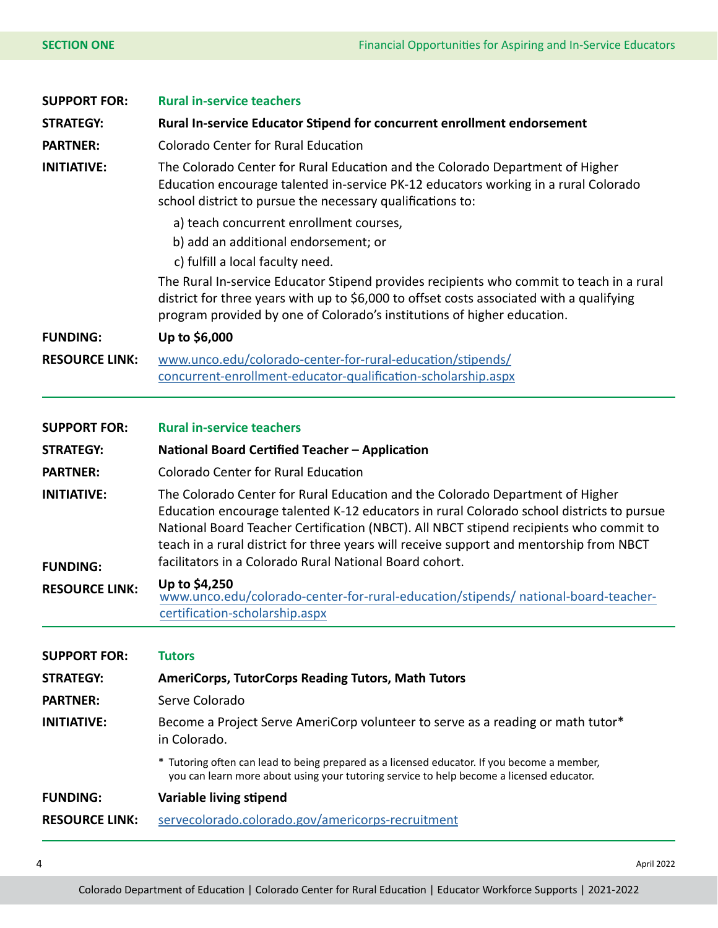| <b>SUPPORT FOR:</b>   | <b>Rural in-service teachers</b>                                                                                                                                                                                                                                                                                                                               |  |  |
|-----------------------|----------------------------------------------------------------------------------------------------------------------------------------------------------------------------------------------------------------------------------------------------------------------------------------------------------------------------------------------------------------|--|--|
| <b>STRATEGY:</b>      | Rural In-service Educator Stipend for concurrent enrollment endorsement                                                                                                                                                                                                                                                                                        |  |  |
| <b>PARTNER:</b>       | <b>Colorado Center for Rural Education</b>                                                                                                                                                                                                                                                                                                                     |  |  |
| <b>INITIATIVE:</b>    | The Colorado Center for Rural Education and the Colorado Department of Higher<br>Education encourage talented in-service PK-12 educators working in a rural Colorado<br>school district to pursue the necessary qualifications to:                                                                                                                             |  |  |
|                       | a) teach concurrent enrollment courses,                                                                                                                                                                                                                                                                                                                        |  |  |
|                       | b) add an additional endorsement; or<br>c) fulfill a local faculty need.                                                                                                                                                                                                                                                                                       |  |  |
|                       | The Rural In-service Educator Stipend provides recipients who commit to teach in a rural<br>district for three years with up to \$6,000 to offset costs associated with a qualifying<br>program provided by one of Colorado's institutions of higher education.                                                                                                |  |  |
| <b>FUNDING:</b>       | Up to \$6,000                                                                                                                                                                                                                                                                                                                                                  |  |  |
| <b>RESOURCE LINK:</b> | www.unco.edu/colorado-center-for-rural-education/stipends/                                                                                                                                                                                                                                                                                                     |  |  |
|                       | concurrent-enrollment-educator-qualification-scholarship.aspx                                                                                                                                                                                                                                                                                                  |  |  |
|                       |                                                                                                                                                                                                                                                                                                                                                                |  |  |
| <b>SUPPORT FOR:</b>   | <b>Rural in-service teachers</b>                                                                                                                                                                                                                                                                                                                               |  |  |
| <b>STRATEGY:</b>      | National Board Certified Teacher - Application                                                                                                                                                                                                                                                                                                                 |  |  |
| <b>PARTNER:</b>       | <b>Colorado Center for Rural Education</b>                                                                                                                                                                                                                                                                                                                     |  |  |
| <b>INITIATIVE:</b>    | The Colorado Center for Rural Education and the Colorado Department of Higher<br>Education encourage talented K-12 educators in rural Colorado school districts to pursue<br>National Board Teacher Certification (NBCT). All NBCT stipend recipients who commit to<br>teach in a rural district for three years will receive support and mentorship from NBCT |  |  |
| <b>FUNDING:</b>       | facilitators in a Colorado Rural National Board cohort.                                                                                                                                                                                                                                                                                                        |  |  |
| <b>RESOURCE LINK:</b> | Up to \$4,250<br>www.unco.edu/colorado-center-for-rural-education/stipends/ national-board-teacher-                                                                                                                                                                                                                                                            |  |  |
|                       | certification-scholarship.aspx                                                                                                                                                                                                                                                                                                                                 |  |  |
|                       |                                                                                                                                                                                                                                                                                                                                                                |  |  |
| <b>SUPPORT FOR:</b>   | <b>Tutors</b>                                                                                                                                                                                                                                                                                                                                                  |  |  |
| <b>STRATEGY:</b>      | <b>AmeriCorps, TutorCorps Reading Tutors, Math Tutors</b>                                                                                                                                                                                                                                                                                                      |  |  |
| <b>PARTNER:</b>       | Serve Colorado                                                                                                                                                                                                                                                                                                                                                 |  |  |
| <b>INITIATIVE:</b>    | Become a Project Serve AmeriCorp volunteer to serve as a reading or math tutor*<br>in Colorado.                                                                                                                                                                                                                                                                |  |  |
|                       | * Tutoring often can lead to being prepared as a licensed educator. If you become a member,<br>you can learn more about using your tutoring service to help become a licensed educator.                                                                                                                                                                        |  |  |
| <b>FUNDING:</b>       | Variable living stipend                                                                                                                                                                                                                                                                                                                                        |  |  |
| <b>RESOURCE LINK:</b> | servecolorado.colorado.gov/americorps-recruitment                                                                                                                                                                                                                                                                                                              |  |  |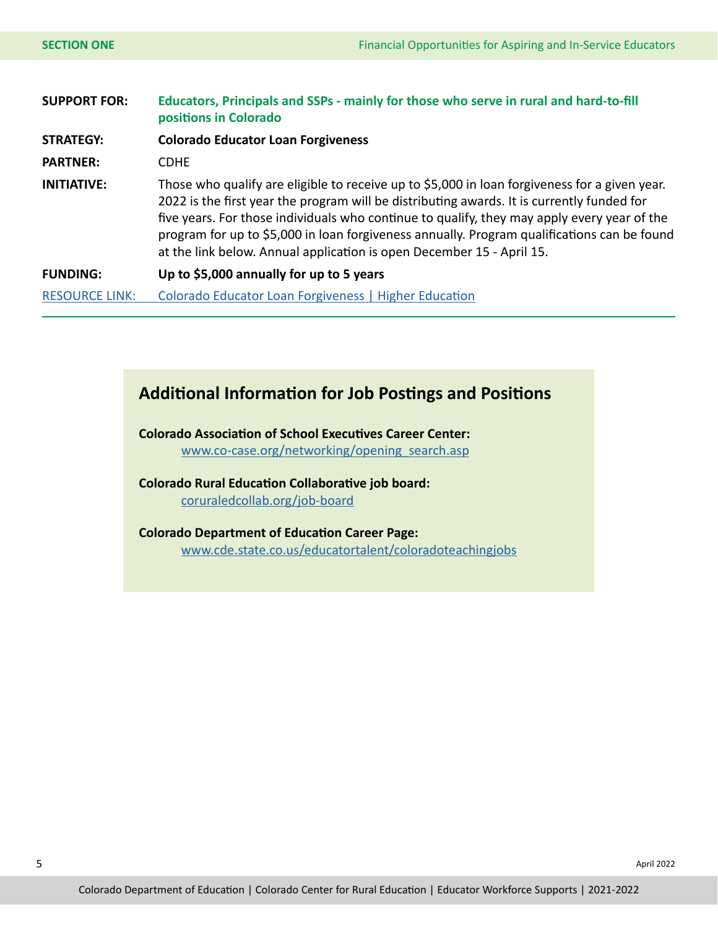| <b>SUPPORT FOR:</b>   | Educators, Principals and SSPs - mainly for those who serve in rural and hard-to-fill<br>positions in Colorado                                                                                                                                                                                                                                                                                                                                                     |  |
|-----------------------|--------------------------------------------------------------------------------------------------------------------------------------------------------------------------------------------------------------------------------------------------------------------------------------------------------------------------------------------------------------------------------------------------------------------------------------------------------------------|--|
| <b>STRATEGY:</b>      | <b>Colorado Educator Loan Forgiveness</b>                                                                                                                                                                                                                                                                                                                                                                                                                          |  |
| <b>PARTNER:</b>       | <b>CDHE</b>                                                                                                                                                                                                                                                                                                                                                                                                                                                        |  |
| <b>INITIATIVE:</b>    | Those who qualify are eligible to receive up to \$5,000 in loan forgiveness for a given year.<br>2022 is the first year the program will be distributing awards. It is currently funded for<br>five years. For those individuals who continue to qualify, they may apply every year of the<br>program for up to \$5,000 in loan forgiveness annually. Program qualifications can be found<br>at the link below. Annual application is open December 15 - April 15. |  |
| <b>FUNDING:</b>       | Up to \$5,000 annually for up to 5 years                                                                                                                                                                                                                                                                                                                                                                                                                           |  |
| <b>RESOURCE LINK:</b> | Colorado Educator Loan Forgiveness   Higher Education                                                                                                                                                                                                                                                                                                                                                                                                              |  |

### **Additional Information for Job Postings and Positions**

**Colorado Association of School Executives Career Center:**

[www.co-case.org/networking/opening\\_search.asp](https://www.co-case.org/networking/opening_search.asp)

**Colorado Rural Education Collaborative job board:** [coruraledcollab.org/job-board](https://coruraledcollab.org/job-board)

**Colorado Department of Education Career Page:** [www.cde.state.co.us/educatortalent/coloradoteachingjobs](http://www.cde.state.co.us/educatortalent/coloradoteachingjobs
)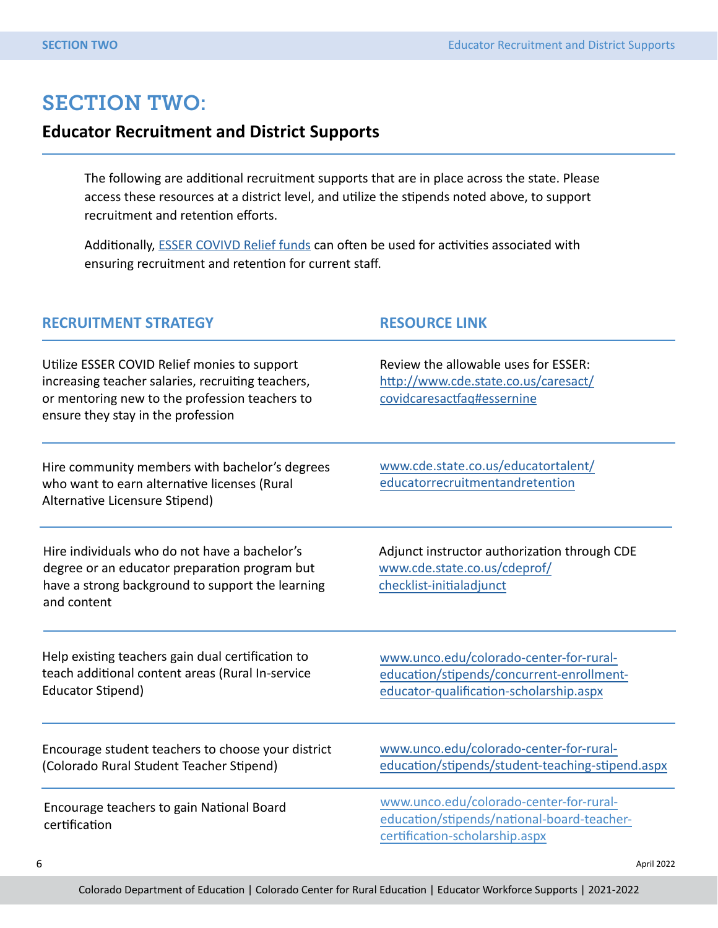# SECTION TWO:

#### **Educator Recruitment and District Supports**

The following are additional recruitment supports that are in place across the state. Please access these resources at a district level, and utilize the stipends noted above, to support recruitment and retention efforts.

Additionally, **ESSER COVIVD Relief funds** can often be used for activities associated with ensuring recruitment and retention for current staff.

#### **RECRUITMENT STRATEGY RESOURCE LINK**

Utilize ESSER COVID Relief monies to support increasing teacher salaries, recruiting teachers, or mentoring new to the profession teachers to ensure they stay in the profession

Hire community members with bachelor's degrees who want to earn alternative licenses (Rural Alternative Licensure Stipend)

Hire individuals who do not have a bachelor's degree or an educator preparation program but have a strong background to support the learning and content

Help existing teachers gain dual certification to teach additional content areas (Rural In-service Educator Stipend)

Encourage student teachers to choose your district (Colorado Rural Student Teacher Stipend)

Encourage teachers to gain National Board certification

Review the allowable uses for ESSER: [http://www.cde.state.co.us/caresact/](http://www.cde.state.co.us/caresact/covidcaresactfaq#essernine) [covidcaresactfaq#essernine](http://www.cde.state.co.us/caresact/covidcaresactfaq#essernine)

www.cde.state.co.us/educatortalent/ [educatorrecruitmentandretention](https://www.unco.edu/colorado-center-for-rural-education/stipends/rural-alternative-licensure-stipend.aspx)

Adjunct instructor authorization through CDE www.cde.state.co.us/cdeprof/ checklist-initialadjunct

www.unco.edu/colorado-center-for-ruraleducation/stipends/concurrent-enrollment[educator-qualification-scholarship.aspx](https://www.unco.edu/colorado-center-for-rural-education/stipends/concurrent-enrollment-educator-qualification-scholarship.aspx)

www.unco.edu/colorado-center-for-rural[education/stipends/student-teaching-stipe](https://www.unco.edu/colorado-center-for-rural-education/stipends/student-teaching-stipend.aspx)nd.aspx

[www.unco.edu/colorado-center-for-rural](https://www.unco.edu/colorado-center-for-rural-education/stipends/student-teaching-stipend.aspx)education/stipends/national-board-teachercertification-scholarship.aspx

6